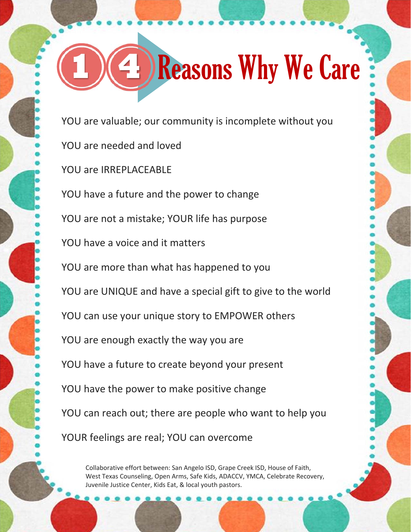## **1 4** Reasons Why We Care

YOU are valuable; our community is incomplete without you YOU are needed and loved YOU are IRREPLACEABLE YOU have a future and the power to change YOU are not a mistake; YOUR life has purpose YOU have a voice and it matters YOU are more than what has happened to you YOU are UNIQUE and have a special gift to give to the world YOU can use your unique story to EMPOWER others YOU are enough exactly the way you are YOU have a future to create beyond your present YOU have the power to make positive change YOU can reach out; there are people who want to help you YOUR feelings are real; YOU can overcome

Collaborative effort between: San Angelo ISD, Grape Creek ISD, House of Faith, West Texas Counseling, Open Arms, Safe Kids, ADACCV, YMCA, Celebrate Recovery, Juvenile Justice Center, Kids Eat, & local youth pastors.